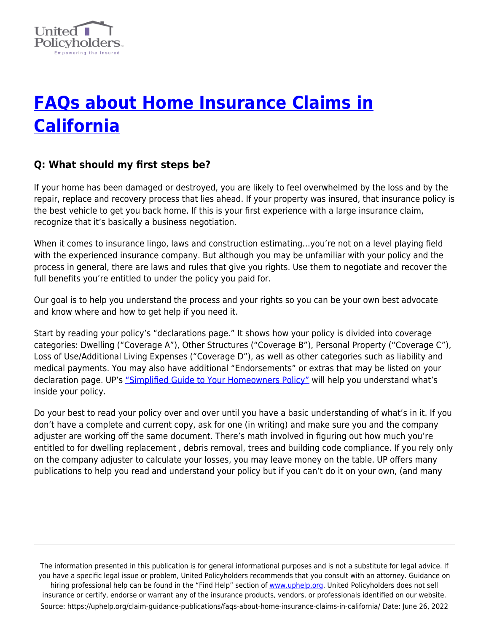

# **[FAQs about Home Insurance Claims in](https://uphelp.org/claim-guidance-publications/faqs-about-home-insurance-claims-in-california/) [California](https://uphelp.org/claim-guidance-publications/faqs-about-home-insurance-claims-in-california/)**

## **Q: What should my first steps be?**

If your home has been damaged or destroyed, you are likely to feel overwhelmed by the loss and by the repair, replace and recovery process that lies ahead. If your property was insured, that insurance policy is the best vehicle to get you back home. If this is your first experience with a large insurance claim, recognize that it's basically a business negotiation.

When it comes to insurance lingo, laws and construction estimating…you're not on a level playing field with the experienced insurance company. But although you may be unfamiliar with your policy and the process in general, there are laws and rules that give you rights. Use them to negotiate and recover the full benefits you're entitled to under the policy you paid for.

Our goal is to help you understand the process and your rights so you can be your own best advocate and know where and how to get help if you need it.

Start by reading your policy's "declarations page." It shows how your policy is divided into coverage categories: Dwelling ("Coverage A"), Other Structures ("Coverage B"), Personal Property ("Coverage C"), Loss of Use/Additional Living Expenses ("Coverage D"), as well as other categories such as liability and medical payments. You may also have additional "Endorsements" or extras that may be listed on your declaration page. UP's ["Simplified Guide to Your Homeowners Policy"](https://uphelp.org/claim-guidance-publications/a-simplified-guide-to-your-homeowners-policy/) will help you understand what's inside your policy.

Do your best to read your policy over and over until you have a basic understanding of what's in it. If you don't have a complete and current copy, ask for one (in writing) and make sure you and the company adjuster are working off the same document. There's math involved in figuring out how much you're entitled to for dwelling replacement , debris removal, trees and building code compliance. If you rely only on the company adjuster to calculate your losses, you may leave money on the table. UP offers many publications to help you read and understand your policy but if you can't do it on your own, (and many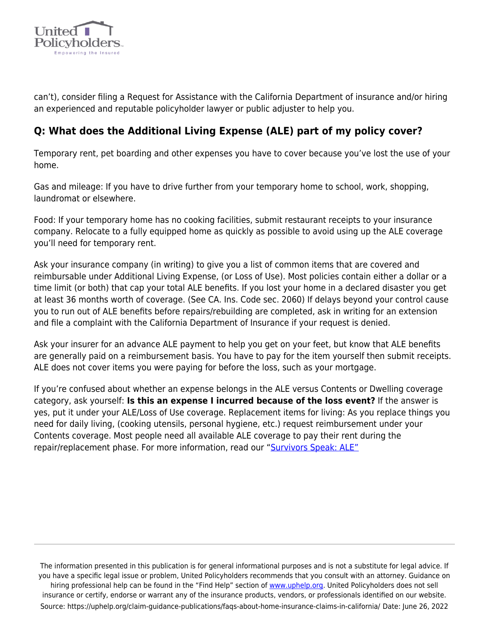

can't), consider filing a Request for Assistance with the California Department of insurance and/or hiring an experienced and reputable policyholder lawyer or public adjuster to help you.

## **Q: What does the Additional Living Expense (ALE) part of my policy cover?**

Temporary rent, pet boarding and other expenses you have to cover because you've lost the use of your home.

Gas and mileage: If you have to drive further from your temporary home to school, work, shopping, laundromat or elsewhere.

Food: If your temporary home has no cooking facilities, submit restaurant receipts to your insurance company. Relocate to a fully equipped home as quickly as possible to avoid using up the ALE coverage you'll need for temporary rent.

Ask your insurance company (in writing) to give you a list of common items that are covered and reimbursable under Additional Living Expense, (or Loss of Use). Most policies contain either a dollar or a time limit (or both) that cap your total ALE benefits. If you lost your home in a declared disaster you get at least 36 months worth of coverage. (See CA. Ins. Code sec. 2060) If delays beyond your control cause you to run out of ALE benefits before repairs/rebuilding are completed, ask in writing for an extension and file a complaint with the California Department of Insurance if your request is denied.

Ask your insurer for an advance ALE payment to help you get on your feet, but know that ALE benefits are generally paid on a reimbursement basis. You have to pay for the item yourself then submit receipts. ALE does not cover items you were paying for before the loss, such as your mortgage.

If you're confused about whether an expense belongs in the ALE versus Contents or Dwelling coverage category, ask yourself: **Is this an expense I incurred because of the loss event?** If the answer is yes, put it under your ALE/Loss of Use coverage. Replacement items for living: As you replace things you need for daily living, (cooking utensils, personal hygiene, etc.) request reimbursement under your Contents coverage. Most people need all available ALE coverage to pay their rent during the repair/replacement phase. For more information, read our "[Survivors Speak: ALE"](https://uphelp.org/claim-guidance-publications/survivors-speak-additional-living-expense-ale-loss-of-use/)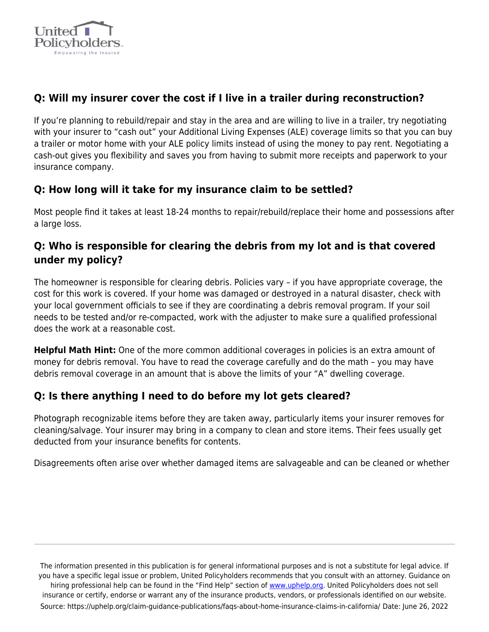

## **Q: Will my insurer cover the cost if I live in a trailer during reconstruction?**

If you're planning to rebuild/repair and stay in the area and are willing to live in a trailer, try negotiating with your insurer to "cash out" your Additional Living Expenses (ALE) coverage limits so that you can buy a trailer or motor home with your ALE policy limits instead of using the money to pay rent. Negotiating a cash-out gives you flexibility and saves you from having to submit more receipts and paperwork to your insurance company.

#### **Q: How long will it take for my insurance claim to be settled?**

Most people find it takes at least 18-24 months to repair/rebuild/replace their home and possessions after a large loss.

## **Q: Who is responsible for clearing the debris from my lot and is that covered under my policy?**

The homeowner is responsible for clearing debris. Policies vary – if you have appropriate coverage, the cost for this work is covered. If your home was damaged or destroyed in a natural disaster, check with your local government officials to see if they are coordinating a debris removal program. If your soil needs to be tested and/or re-compacted, work with the adjuster to make sure a qualified professional does the work at a reasonable cost.

**Helpful Math Hint:** One of the more common additional coverages in policies is an extra amount of money for debris removal. You have to read the coverage carefully and do the math – you may have debris removal coverage in an amount that is above the limits of your "A" dwelling coverage.

#### **Q: Is there anything I need to do before my lot gets cleared?**

Photograph recognizable items before they are taken away, particularly items your insurer removes for cleaning/salvage. Your insurer may bring in a company to clean and store items. Their fees usually get deducted from your insurance benefits for contents.

Disagreements often arise over whether damaged items are salvageable and can be cleaned or whether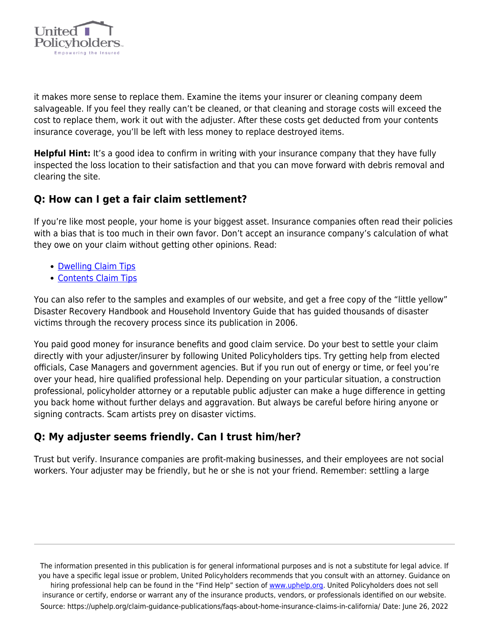

it makes more sense to replace them. Examine the items your insurer or cleaning company deem salvageable. If you feel they really can't be cleaned, or that cleaning and storage costs will exceed the cost to replace them, work it out with the adjuster. After these costs get deducted from your contents insurance coverage, you'll be left with less money to replace destroyed items.

**Helpful Hint:** It's a good idea to confirm in writing with your insurance company that they have fully inspected the loss location to their satisfaction and that you can move forward with debris removal and clearing the site.

#### **Q: How can I get a fair claim settlement?**

If you're like most people, your home is your biggest asset. Insurance companies often read their policies with a bias that is too much in their own favor. Don't accept an insurance company's calculation of what they owe on your claim without getting other opinions. Read:

- [Dwelling Claim Tips](https://uphelp.org/claim-guidance-publications/insurance-recovery-tips-for-the-dwelling-part-of-your-claim/)
- [Contents Claim Tips](https://uphelp.org/claim-guidance-publications/home-inventory-and-contents-claim-tips/)

You can also refer to the samples and examples of our website, and get a free copy of the "little yellow" Disaster Recovery Handbook and Household Inventory Guide that has guided thousands of disaster victims through the recovery process since its publication in 2006.

You paid good money for insurance benefits and good claim service. Do your best to settle your claim directly with your adjuster/insurer by following United Policyholders tips. Try getting help from elected officials, Case Managers and government agencies. But if you run out of energy or time, or feel you're over your head, hire qualified professional help. Depending on your particular situation, a construction professional, policyholder attorney or a reputable public adjuster can make a huge difference in getting you back home without further delays and aggravation. But always be careful before hiring anyone or signing contracts. Scam artists prey on disaster victims.

## **Q: My adjuster seems friendly. Can I trust him/her?**

Trust but verify. Insurance companies are profit-making businesses, and their employees are not social workers. Your adjuster may be friendly, but he or she is not your friend. Remember: settling a large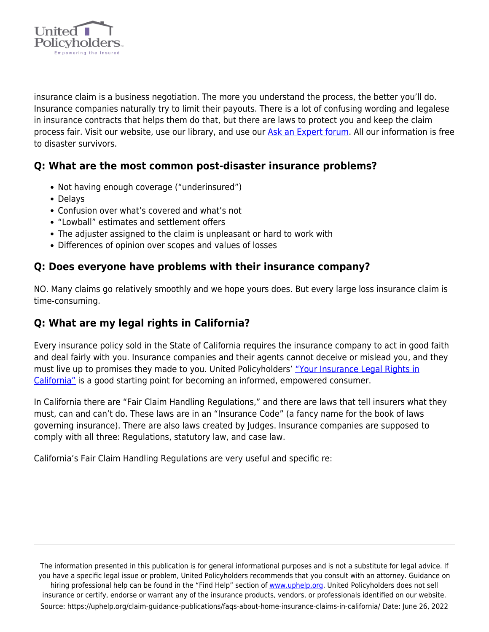

insurance claim is a business negotiation. The more you understand the process, the better you'll do. Insurance companies naturally try to limit their payouts. There is a lot of confusing wording and legalese in insurance contracts that helps them do that, but there are laws to protect you and keep the claim process fair. Visit our website, use our library, and use our [Ask an Expert forum.](https://uphelp.org/ask-an-expert/) All our information is free to disaster survivors.

#### **Q: What are the most common post-disaster insurance problems?**

- Not having enough coverage ("underinsured")
- Delays
- Confusion over what's covered and what's not
- "Lowball" estimates and settlement offers
- The adjuster assigned to the claim is unpleasant or hard to work with
- Differences of opinion over scopes and values of losses

#### **Q: Does everyone have problems with their insurance company?**

NO. Many claims go relatively smoothly and we hope yours does. But every large loss insurance claim is time-consuming.

#### **Q: What are my legal rights in California?**

Every insurance policy sold in the State of California requires the insurance company to act in good faith and deal fairly with you. Insurance companies and their agents cannot deceive or mislead you, and they must live up to promises they made to you. United Policyholders' ["Your Insurance Legal Rights in](https://uphelp.org/claim-guidance-publications/a-guide-to-your-insurance-legal-rights-in-california/) [California"](https://uphelp.org/claim-guidance-publications/a-guide-to-your-insurance-legal-rights-in-california/) is a good starting point for becoming an informed, empowered consumer.

In California there are "Fair Claim Handling Regulations," and there are laws that tell insurers what they must, can and can't do. These laws are in an "Insurance Code" (a fancy name for the book of laws governing insurance). There are also laws created by Judges. Insurance companies are supposed to comply with all three: Regulations, statutory law, and case law.

California's Fair Claim Handling Regulations are very useful and specific re: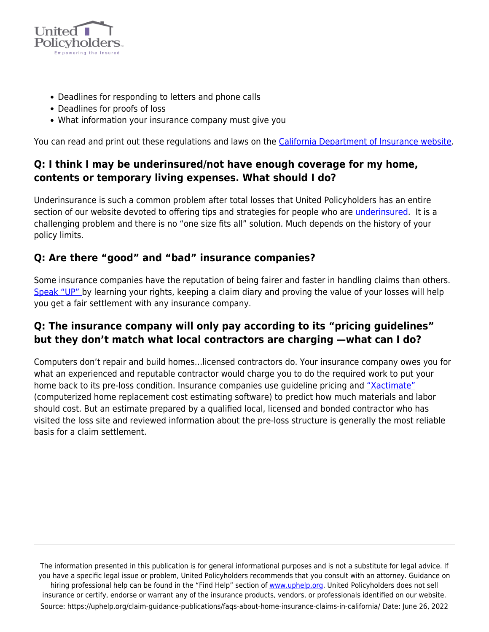

- Deadlines for responding to letters and phone calls
- Deadlines for proofs of loss
- What information your insurance company must give you

You can read and print out these regulations and laws on the [California Department of Insurance website](http://www.insurance.ca.gov/0250-insurers/0500-legal-info/0100-insurance-code/index.cfm).

### **Q: I think I may be underinsured/not have enough coverage for my home, contents or temporary living expenses. What should I do?**

Underinsurance is such a common problem after total losses that United Policyholders has an entire section of our website devoted to offering tips and strategies for people who are [underinsured](https://uphelp.org/claim-guidance-publications/underinsurance-101/). It is a challenging problem and there is no "one size fits all" solution. Much depends on the history of your policy limits.

#### **Q: Are there "good" and "bad" insurance companies?**

Some insurance companies have the reputation of being fairer and faster in handling claims than others. [Speak "UP" b](https://uphelp.org/claim-guidance-publications/speak-up-how-to-communicate-with-your-insurance-company/)y learning your rights, keeping a claim diary and proving the value of your losses will help you get a fair settlement with any insurance company.

## **Q: The insurance company will only pay according to its "pricing guidelines" but they don't match what local contractors are charging —what can I do?**

Computers don't repair and build homes…licensed contractors do. Your insurance company owes you for what an experienced and reputable contractor would charge you to do the required work to put your home back to its pre-loss condition. Insurance companies use guideline pricing and ["Xactimate"](https://uphelp.org/claim-guidance-publications/xactimate-demystified/) (computerized home replacement cost estimating software) to predict how much materials and labor should cost. But an estimate prepared by a qualified local, licensed and bonded contractor who has visited the loss site and reviewed information about the pre-loss structure is generally the most reliable basis for a claim settlement.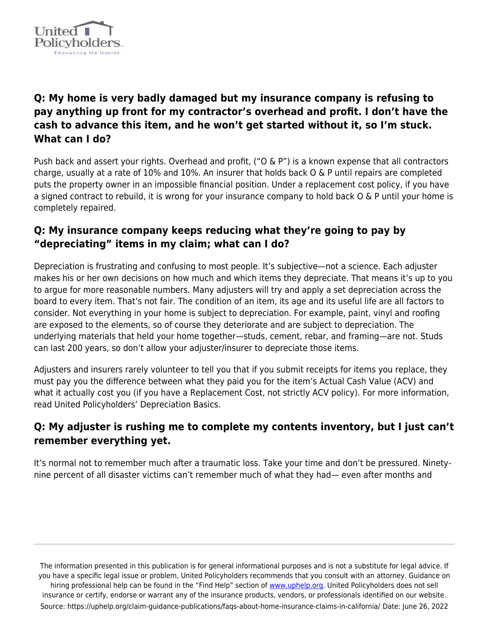

## **Q: My home is very badly damaged but my insurance company is refusing to pay anything up front for my contractor's overhead and profit. I don't have the cash to advance this item, and he won't get started without it, so I'm stuck. What can I do?**

Push back and assert your rights. Overhead and profit, ("O & P") is a known expense that all contractors charge, usually at a rate of 10% and 10%. An insurer that holds back O & P until repairs are completed puts the property owner in an impossible financial position. Under a replacement cost policy, if you have a signed contract to rebuild, it is wrong for your insurance company to hold back O & P until your home is completely repaired.

### **Q: My insurance company keeps reducing what they're going to pay by "depreciating" items in my claim; what can I do?**

Depreciation is frustrating and confusing to most people. It's subjective—not a science. Each adjuster makes his or her own decisions on how much and which items they depreciate. That means it's up to you to argue for more reasonable numbers. Many adjusters will try and apply a set depreciation across the board to every item. That's not fair. The condition of an item, its age and its useful life are all factors to consider. Not everything in your home is subject to depreciation. For example, paint, vinyl and roofing are exposed to the elements, so of course they deteriorate and are subject to depreciation. The underlying materials that held your home together—studs, cement, rebar, and framing—are not. Studs can last 200 years, so don't allow your adjuster/insurer to depreciate those items.

Adjusters and insurers rarely volunteer to tell you that if you submit receipts for items you replace, they must pay you the difference between what they paid you for the item's Actual Cash Value (ACV) and what it actually cost you (if you have a Replacement Cost, not strictly ACV policy). For more information, read United Policyholders' Depreciation Basics.

## **Q: My adjuster is rushing me to complete my contents inventory, but I just can't remember everything yet.**

It's normal not to remember much after a traumatic loss. Take your time and don't be pressured. Ninetynine percent of all disaster victims can't remember much of what they had— even after months and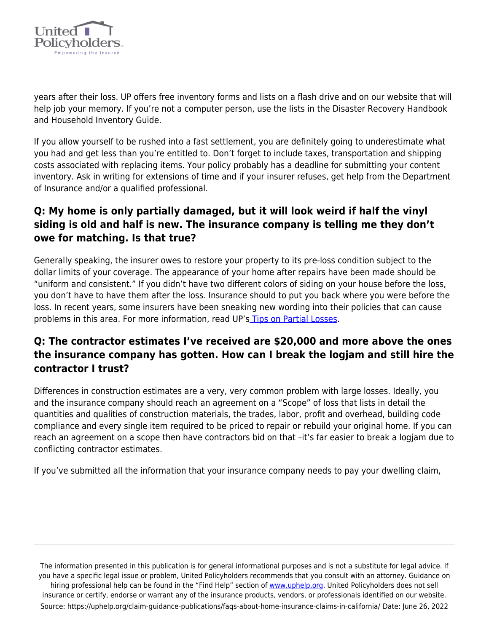

years after their loss. UP offers free inventory forms and lists on a flash drive and on our website that will help job your memory. If you're not a computer person, use the lists in the Disaster Recovery Handbook and Household Inventory Guide.

If you allow yourself to be rushed into a fast settlement, you are definitely going to underestimate what you had and get less than you're entitled to. Don't forget to include taxes, transportation and shipping costs associated with replacing items. Your policy probably has a deadline for submitting your content inventory. Ask in writing for extensions of time and if your insurer refuses, get help from the Department of Insurance and/or a qualified professional.

## **Q: My home is only partially damaged, but it will look weird if half the vinyl siding is old and half is new. The insurance company is telling me they don't owe for matching. Is that true?**

Generally speaking, the insurer owes to restore your property to its pre-loss condition subject to the dollar limits of your coverage. The appearance of your home after repairs have been made should be "uniform and consistent." If you didn't have two different colors of siding on your house before the loss, you don't have to have them after the loss. Insurance should to put you back where you were before the loss. In recent years, some insurers have been sneaking new wording into their policies that can cause problems in this area. For more information, read UP's [Tips on Partial Losses](https://uphelp.org/claim-guidance-publications/insurance-claim-tips-for-partial-loss-fires/).

## **Q: The contractor estimates I've received are \$20,000 and more above the ones the insurance company has gotten. How can I break the logjam and still hire the contractor I trust?**

Differences in construction estimates are a very, very common problem with large losses. Ideally, you and the insurance company should reach an agreement on a "Scope" of loss that lists in detail the quantities and qualities of construction materials, the trades, labor, profit and overhead, building code compliance and every single item required to be priced to repair or rebuild your original home. If you can reach an agreement on a scope then have contractors bid on that –it's far easier to break a logjam due to conflicting contractor estimates.

If you've submitted all the information that your insurance company needs to pay your dwelling claim,